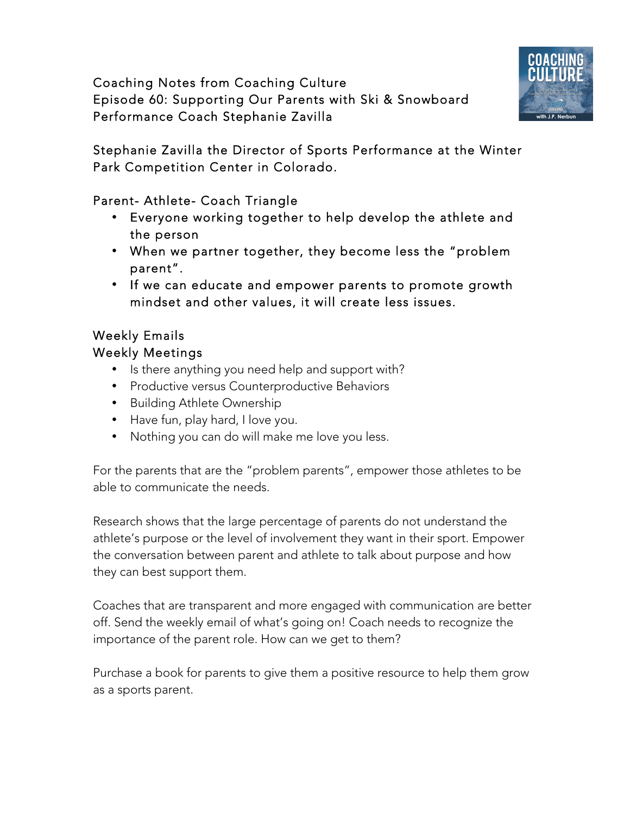Coaching Notes from Coaching Culture Episode 60: Supporting Our Parents with Ski & Snowboard Performance Coach Stephanie Zavilla



Stephanie Zavilla the Director of Sports Performance at the Winter Park Competition Center in Colorado.

Parent- Athlete- Coach Triangle

- Everyone working together to help develop the athlete and the person
- When we partner together, they become less the "problem parent".
- If we can educate and empower parents to promote growth mindset and other values, it will create less issues.

## Weekly Emails

## Weekly Meetings

- Is there anything you need help and support with?
- Productive versus Counterproductive Behaviors
- Building Athlete Ownership
- Have fun, play hard, I love you.
- Nothing you can do will make me love you less.

For the parents that are the "problem parents", empower those athletes to be able to communicate the needs.

Research shows that the large percentage of parents do not understand the athlete's purpose or the level of involvement they want in their sport. Empower the conversation between parent and athlete to talk about purpose and how they can best support them.

Coaches that are transparent and more engaged with communication are better off. Send the weekly email of what's going on! Coach needs to recognize the importance of the parent role. How can we get to them?

Purchase a book for parents to give them a positive resource to help them grow as a sports parent.